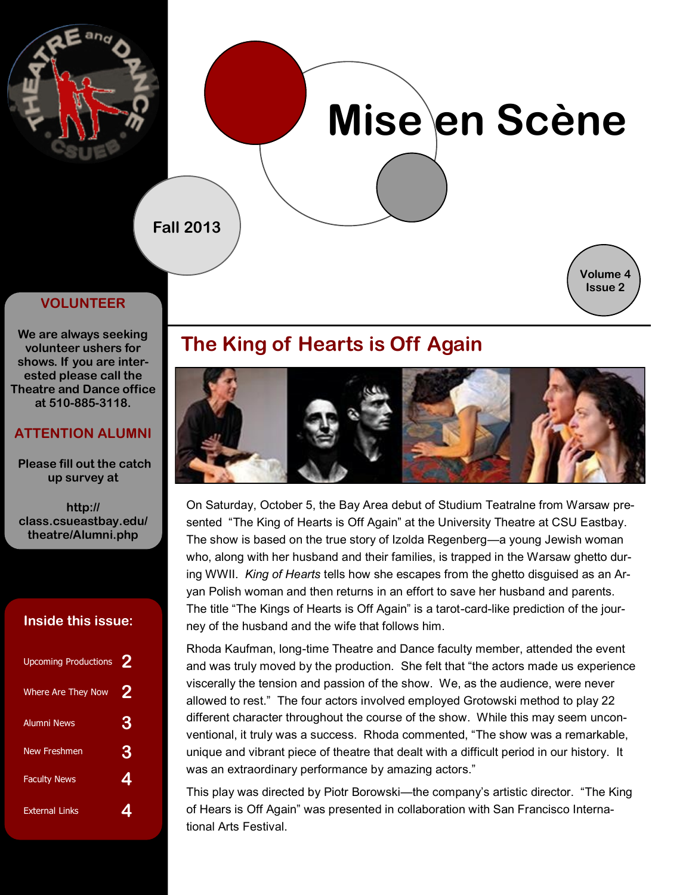

# **Mise en Scène**

**Fall 2013**



#### **VOLUNTEER**

**We are always seeking volunteer ushers for shows. If you are interested please call the Theatre and Dance office at 510-885-3118.** 

#### **ATTENTION ALUMNI**

 **Please fill out the catch up survey at** 

**http:// class.csueastbay.edu/ theatre/Alumni.php**

#### **Inside this issue:**

| <b>Upcoming Productions</b> | 2 |
|-----------------------------|---|
| <b>Where Are They Now</b>   | 2 |
| <b>Alumni News</b>          | 3 |
| New Freshmen                | 3 |
| <b>Faculty News</b>         | 4 |
| <b>External Links</b>       |   |

# **The King of Hearts is Off Again**



On Saturday, October 5, the Bay Area debut of Studium Teatralne from Warsaw presented "The King of Hearts is Off Again" at the University Theatre at CSU Eastbay. The show is based on the true story of Izolda Regenberg—a young Jewish woman who, along with her husband and their families, is trapped in the Warsaw ghetto during WWII. *King of Hearts* tells how she escapes from the ghetto disguised as an Aryan Polish woman and then returns in an effort to save her husband and parents. The title "The Kings of Hearts is Off Again" is a tarot-card-like prediction of the journey of the husband and the wife that follows him.

Rhoda Kaufman, long-time Theatre and Dance faculty member, attended the event and was truly moved by the production. She felt that "the actors made us experience viscerally the tension and passion of the show. We, as the audience, were never allowed to rest." The four actors involved employed Grotowski method to play 22 different character throughout the course of the show. While this may seem unconventional, it truly was a success. Rhoda commented, "The show was a remarkable, unique and vibrant piece of theatre that dealt with a difficult period in our history. It was an extraordinary performance by amazing actors."

This play was directed by Piotr Borowski—the company's artistic director. "The King of Hears is Off Again" was presented in collaboration with San Francisco International Arts Festival.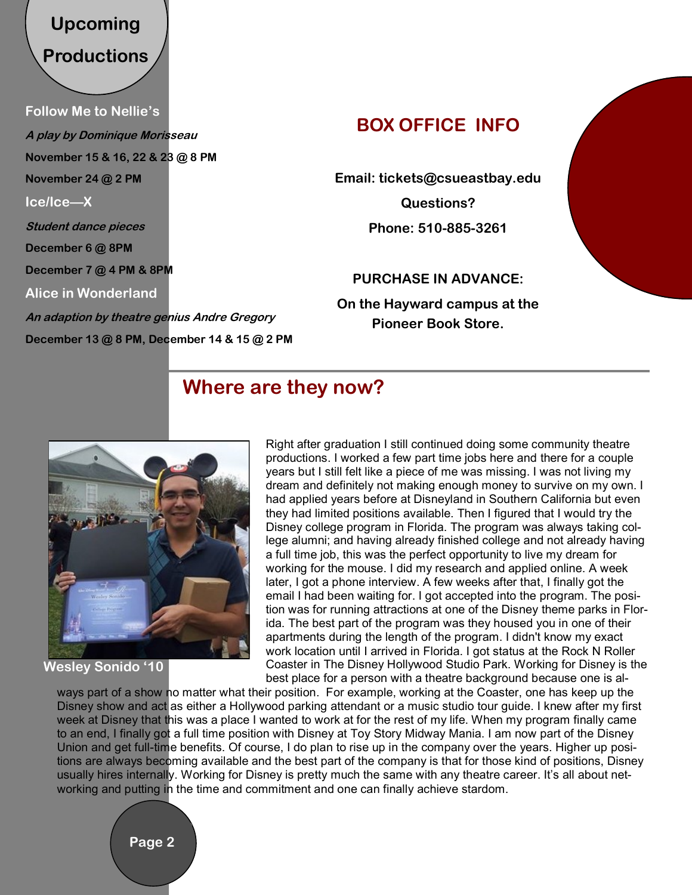# **Upcoming Productions**

**Follow Me to Nellie's A play by Dominique Morisseau November 15 & 16, 22 & 23 @ 8 PM November 24 @ 2 PM Ice/Ice—X Student dance pieces December 6 @ 8PM December 7 @ 4 PM & 8PM Alice in Wonderland An adaption by theatre genius Andre Gregory December 13 @ 8 PM, December 14 & 15 @ 2 PM** 

# **BOX OFFICE INFO**

**Email: tickets@csueastbay.edu** 

**Questions? Phone: 510-885-3261** 

**PURCHASE IN ADVANCE:** 

**On the Hayward campus at the Pioneer Book Store.** 

## **Where are they now?**



#### **Wesley Sonido '10**

Right after graduation I still continued doing some community theatre productions. I worked a few part time jobs here and there for a couple years but I still felt like a piece of me was missing. I was not living my dream and definitely not making enough money to survive on my own. I had applied years before at Disneyland in Southern California but even they had limited positions available. Then I figured that I would try the Disney college program in Florida. The program was always taking college alumni; and having already finished college and not already having a full time job, this was the perfect opportunity to live my dream for working for the mouse. I did my research and applied online. A week later, I got a phone interview. A few weeks after that, I finally got the email I had been waiting for. I got accepted into the program. The position was for running attractions at one of the Disney theme parks in Florida. The best part of the program was they housed you in one of their apartments during the length of the program. I didn't know my exact work location until I arrived in Florida. I got status at the Rock N Roller Coaster in The Disney Hollywood Studio Park. Working for Disney is the best place for a person with a theatre background because one is al-

ways part of a show no matter what their position. For example, working at the Coaster, one has keep up the Disney show and act as either a Hollywood parking attendant or a music studio tour guide. I knew after my first week at Disney that this was a place I wanted to work at for the rest of my life. When my program finally came to an end, I finally got a full time position with Disney at Toy Story Midway Mania. I am now part of the Disney Union and get full-time benefits. Of course, I do plan to rise up in the company over the years. Higher up positions are always becoming available and the best part of the company is that for those kind of positions, Disney usually hires internally. Working for Disney is pretty much the same with any theatre career. It's all about networking and putting in the time and commitment and one can finally achieve stardom.

**Page 2**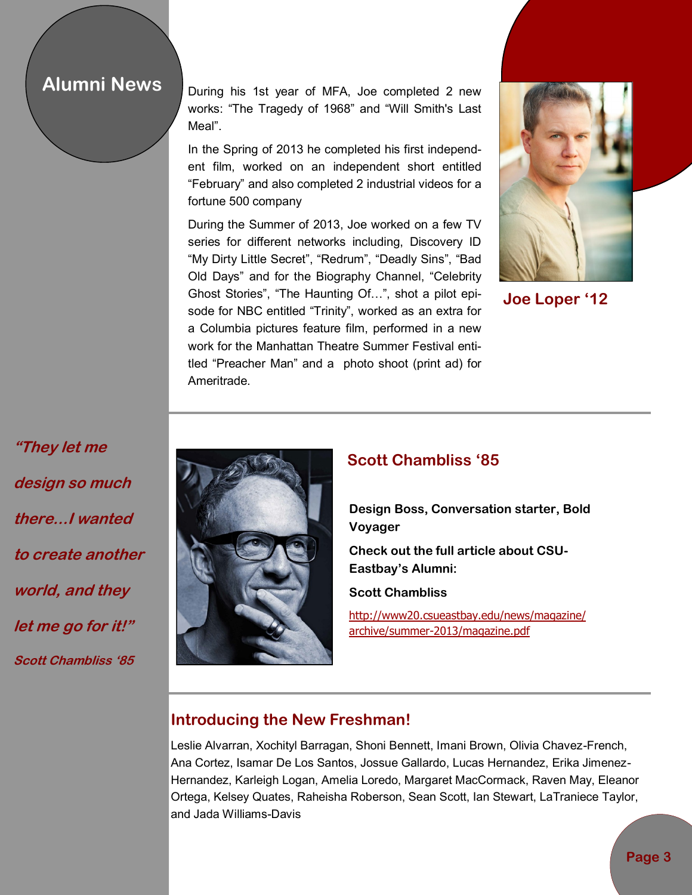### **Alumni News**

During his 1st year of MFA, Joe completed 2 new works: "The Tragedy of 1968" and "Will Smith's Last Meal".

In the Spring of 2013 he completed his first independent film, worked on an independent short entitled "February" and also completed 2 industrial videos for a fortune 500 company

During the Summer of 2013, Joe worked on a few TV series for different networks including, Discovery ID "My Dirty Little Secret", "Redrum", "Deadly Sins", "Bad Old Days" and for the Biography Channel, "Celebrity Ghost Stories", "The Haunting Of…", shot a pilot episode for NBC entitled "Trinity", worked as an extra for a Columbia pictures feature film, performed in a new work for the Manhattan Theatre Summer Festival entitled "Preacher Man" and a photo shoot (print ad) for Ameritrade.



**Joe Loper '12**

**"They let me design so much there...I wanted to create another world, and they let me go for it!" Scott Chambliss '85**



#### **Scott Chambliss '85**

**Design Boss, Conversation starter, Bold Voyager**

**Check out the full article about CSU-Eastbay's Alumni:**

**Scott Chambliss**

[http://www20.csueastbay.edu/news/magazine/](http://www20.csueastbay.edu/news/magazine/archive/summer-2013/magazine.pdf) [archive/summer-2013/magazine.pdf](http://www20.csueastbay.edu/news/magazine/archive/summer-2013/magazine.pdf)

#### **Introducing the New Freshman!**

Leslie Alvarran, Xochityl Barragan, Shoni Bennett, Imani Brown, Olivia Chavez-French, Ana Cortez, Isamar De Los Santos, Jossue Gallardo, Lucas Hernandez, Erika Jimenez-Hernandez, Karleigh Logan, Amelia Loredo, Margaret MacCormack, Raven May, Eleanor Ortega, Kelsey Quates, Raheisha Roberson, Sean Scott, Ian Stewart, LaTraniece Taylor, and Jada Williams-Davis